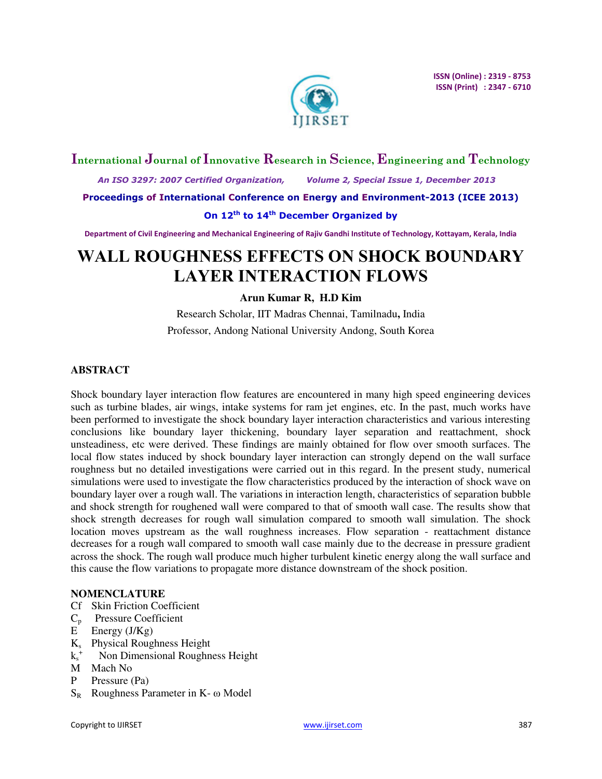

## **International Journal of Innovative Research in Science, Engineering and Technology**

 *An ISO 3297: 2007 Certified Organization, Volume 2, Special Issue 1, December 2013* 

**Proceedings of International Conference on Energy and Environment-2013 (ICEE 2013)** 

## **On 12th to 14th December Organized by**

**Department of Civil Engineering and Mechanical Engineering of Rajiv Gandhi Institute of Technology, Kottayam, Kerala, India** 

# **WALL ROUGHNESS EFFECTS ON SHOCK BOUNDARY LAYER INTERACTION FLOWS**

## **Arun Kumar R, H.D Kim**

Research Scholar, IIT Madras Chennai, Tamilnadu**,** India Professor, Andong National University Andong, South Korea

## **ABSTRACT**

Shock boundary layer interaction flow features are encountered in many high speed engineering devices such as turbine blades, air wings, intake systems for ram jet engines, etc. In the past, much works have been performed to investigate the shock boundary layer interaction characteristics and various interesting conclusions like boundary layer thickening, boundary layer separation and reattachment, shock unsteadiness, etc were derived. These findings are mainly obtained for flow over smooth surfaces. The local flow states induced by shock boundary layer interaction can strongly depend on the wall surface roughness but no detailed investigations were carried out in this regard. In the present study, numerical simulations were used to investigate the flow characteristics produced by the interaction of shock wave on boundary layer over a rough wall. The variations in interaction length, characteristics of separation bubble and shock strength for roughened wall were compared to that of smooth wall case. The results show that shock strength decreases for rough wall simulation compared to smooth wall simulation. The shock location moves upstream as the wall roughness increases. Flow separation - reattachment distance decreases for a rough wall compared to smooth wall case mainly due to the decrease in pressure gradient across the shock. The rough wall produce much higher turbulent kinetic energy along the wall surface and this cause the flow variations to propagate more distance downstream of the shock position.

## **NOMENCLATURE**

- Cf Skin Friction Coefficient
- $C_p$  Pressure Coefficient
- $E$  Energy ( $J/Kg$ )
- Ks Physical Roughness Height
- $k_s^+$ Non Dimensional Roughness Height
- M Mach No
- P Pressure (Pa)
- $S_R$  Roughness Parameter in K- ω Model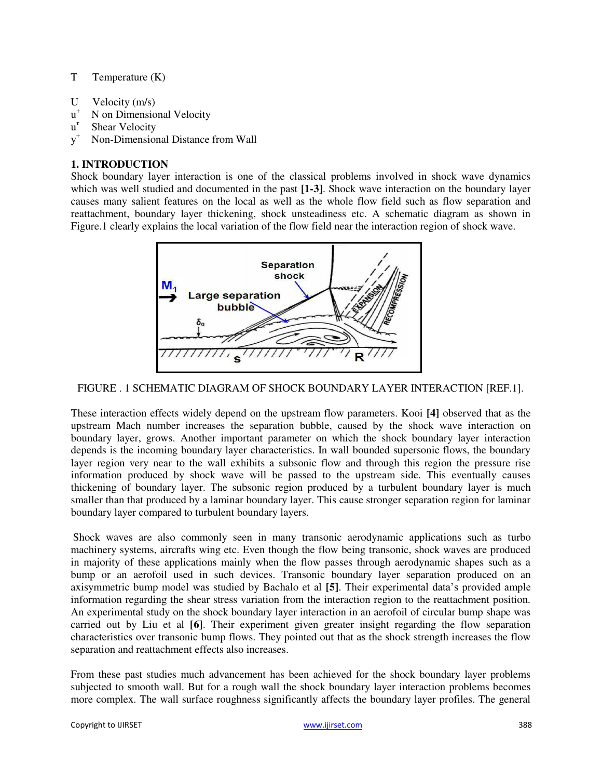## T Temperature (K)

- U Velocity (m/s)
- $u^+$ N on Dimensional Velocity
- u τ Shear Velocity
- $y^+$ Non-Dimensional Distance from Wall

#### **1. INTRODUCTION**

Shock boundary layer interaction is one of the classical problems involved in shock wave dynamics which was well studied and documented in the past **[1-3]**. Shock wave interaction on the boundary layer causes many salient features on the local as well as the whole flow field such as flow separation and reattachment, boundary layer thickening, shock unsteadiness etc. A schematic diagram as shown in Figure.1 clearly explains the local variation of the flow field near the interaction region of shock wave.



#### FIGURE . 1 SCHEMATIC DIAGRAM OF SHOCK BOUNDARY LAYER INTERACTION [REF.1].

These interaction effects widely depend on the upstream flow parameters. Kooi **[4]** observed that as the upstream Mach number increases the separation bubble, caused by the shock wave interaction on boundary layer, grows. Another important parameter on which the shock boundary layer interaction depends is the incoming boundary layer characteristics. In wall bounded supersonic flows, the boundary layer region very near to the wall exhibits a subsonic flow and through this region the pressure rise information produced by shock wave will be passed to the upstream side. This eventually causes thickening of boundary layer. The subsonic region produced by a turbulent boundary layer is much smaller than that produced by a laminar boundary layer. This cause stronger separation region for laminar boundary layer compared to turbulent boundary layers.

Shock waves are also commonly seen in many transonic aerodynamic applications such as turbo machinery systems, aircrafts wing etc. Even though the flow being transonic, shock waves are produced in majority of these applications mainly when the flow passes through aerodynamic shapes such as a bump or an aerofoil used in such devices. Transonic boundary layer separation produced on an axisymmetric bump model was studied by Bachalo et al **[5]**. Their experimental data's provided ample information regarding the shear stress variation from the interaction region to the reattachment position. An experimental study on the shock boundary layer interaction in an aerofoil of circular bump shape was carried out by Liu et al **[6]**. Their experiment given greater insight regarding the flow separation characteristics over transonic bump flows. They pointed out that as the shock strength increases the flow separation and reattachment effects also increases.

From these past studies much advancement has been achieved for the shock boundary layer problems subjected to smooth wall. But for a rough wall the shock boundary layer interaction problems becomes more complex. The wall surface roughness significantly affects the boundary layer profiles. The general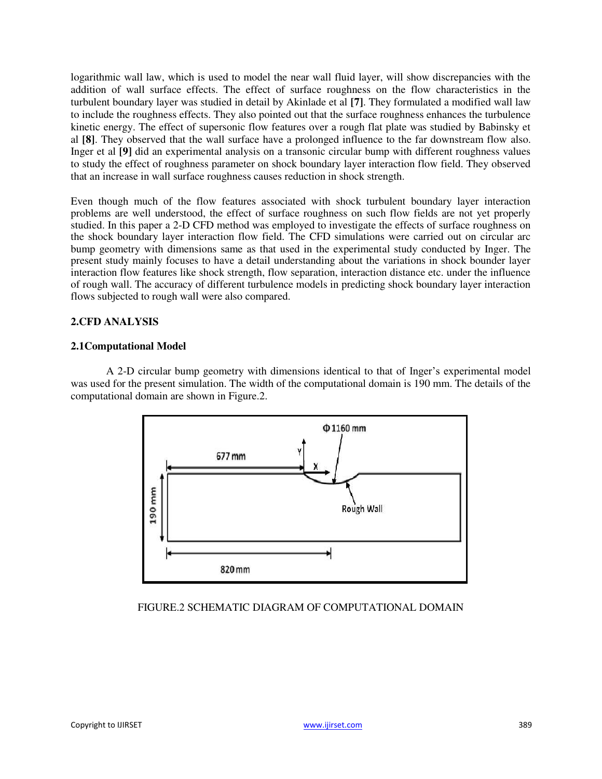logarithmic wall law, which is used to model the near wall fluid layer, will show discrepancies with the addition of wall surface effects. The effect of surface roughness on the flow characteristics in the turbulent boundary layer was studied in detail by Akinlade et al **[7]**. They formulated a modified wall law to include the roughness effects. They also pointed out that the surface roughness enhances the turbulence kinetic energy. The effect of supersonic flow features over a rough flat plate was studied by Babinsky et al **[8]**. They observed that the wall surface have a prolonged influence to the far downstream flow also. Inger et al **[9]** did an experimental analysis on a transonic circular bump with different roughness values to study the effect of roughness parameter on shock boundary layer interaction flow field. They observed that an increase in wall surface roughness causes reduction in shock strength.

Even though much of the flow features associated with shock turbulent boundary layer interaction problems are well understood, the effect of surface roughness on such flow fields are not yet properly studied. In this paper a 2-D CFD method was employed to investigate the effects of surface roughness on the shock boundary layer interaction flow field. The CFD simulations were carried out on circular arc bump geometry with dimensions same as that used in the experimental study conducted by Inger. The present study mainly focuses to have a detail understanding about the variations in shock bounder layer interaction flow features like shock strength, flow separation, interaction distance etc. under the influence of rough wall. The accuracy of different turbulence models in predicting shock boundary layer interaction flows subjected to rough wall were also compared.

## **2.CFD ANALYSIS**

## **2.1Computational Model**

A 2-D circular bump geometry with dimensions identical to that of Inger's experimental model was used for the present simulation. The width of the computational domain is 190 mm. The details of the computational domain are shown in Figure.2.



## FIGURE.2 SCHEMATIC DIAGRAM OF COMPUTATIONAL DOMAIN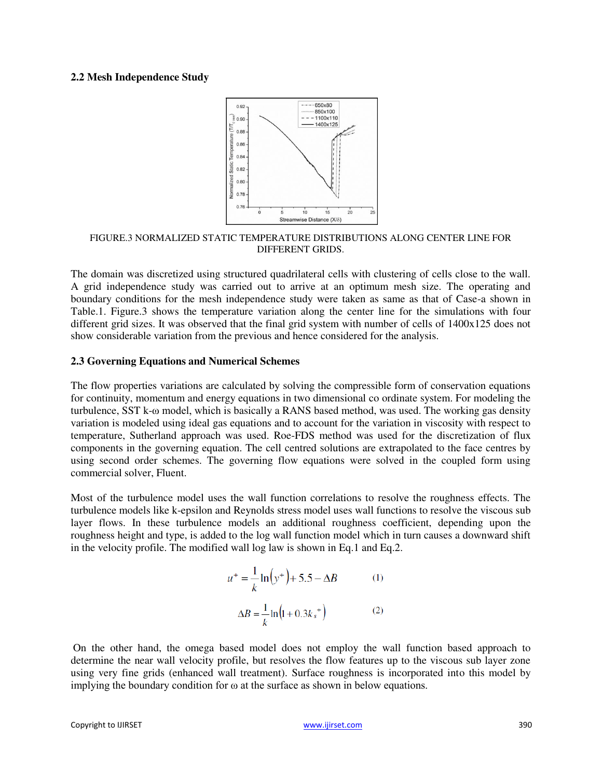#### **2.2 Mesh Independence Study**



#### FIGURE.3 NORMALIZED STATIC TEMPERATURE DISTRIBUTIONS ALONG CENTER LINE FOR DIFFERENT GRIDS.

The domain was discretized using structured quadrilateral cells with clustering of cells close to the wall. A grid independence study was carried out to arrive at an optimum mesh size. The operating and boundary conditions for the mesh independence study were taken as same as that of Case-a shown in Table.1. Figure.3 shows the temperature variation along the center line for the simulations with four different grid sizes. It was observed that the final grid system with number of cells of 1400x125 does not show considerable variation from the previous and hence considered for the analysis.

#### **2.3 Governing Equations and Numerical Schemes**

The flow properties variations are calculated by solving the compressible form of conservation equations for continuity, momentum and energy equations in two dimensional co ordinate system. For modeling the turbulence, SST k-ω model, which is basically a RANS based method, was used. The working gas density variation is modeled using ideal gas equations and to account for the variation in viscosity with respect to temperature, Sutherland approach was used. Roe-FDS method was used for the discretization of flux components in the governing equation. The cell centred solutions are extrapolated to the face centres by using second order schemes. The governing flow equations were solved in the coupled form using commercial solver, Fluent.

Most of the turbulence model uses the wall function correlations to resolve the roughness effects. The turbulence models like k-epsilon and Reynolds stress model uses wall functions to resolve the viscous sub layer flows. In these turbulence models an additional roughness coefficient, depending upon the roughness height and type, is added to the log wall function model which in turn causes a downward shift in the velocity profile. The modified wall log law is shown in Eq.1 and Eq.2.

$$
u^{+} = \frac{1}{k} \ln(y^{+}) + 5.5 - \Delta B
$$
 (1)  

$$
\Delta B = \frac{1}{k} \ln(1 + 0.3k_s^{+})
$$
 (2)

On the other hand, the omega based model does not employ the wall function based approach to determine the near wall velocity profile, but resolves the flow features up to the viscous sub layer zone using very fine grids (enhanced wall treatment). Surface roughness is incorporated into this model by implying the boundary condition for ω at the surface as shown in below equations.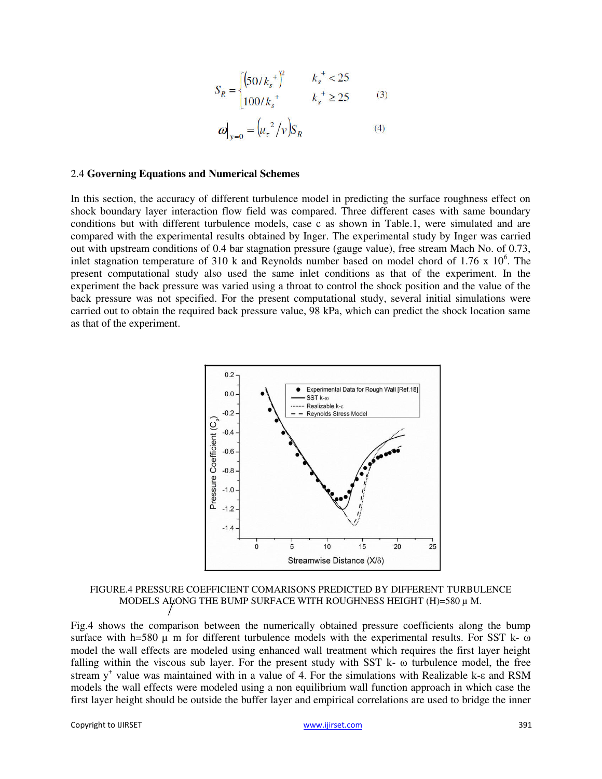$$
S_R = \begin{cases} (50/k_s^{\ast})^2 & k_s^{\ast} < 25\\ 100/k_s^{\ast} & k_s^{\ast} \ge 25 \end{cases}
$$
 (3)  

$$
\omega|_{v=0} = (u_{\tau}^2/v)S_R
$$
 (4)

#### 2.4 **Governing Equations and Numerical Schemes**

In this section, the accuracy of different turbulence model in predicting the surface roughness effect on shock boundary layer interaction flow field was compared. Three different cases with same boundary conditions but with different turbulence models, case c as shown in Table.1, were simulated and are compared with the experimental results obtained by Inger. The experimental study by Inger was carried out with upstream conditions of 0.4 bar stagnation pressure (gauge value), free stream Mach No. of 0.73, inlet stagnation temperature of 310 k and Reynolds number based on model chord of 1.76 x  $10^6$ . The present computational study also used the same inlet conditions as that of the experiment. In the experiment the back pressure was varied using a throat to control the shock position and the value of the back pressure was not specified. For the present computational study, several initial simulations were carried out to obtain the required back pressure value, 98 kPa, which can predict the shock location same as that of the experiment.



FIGURE.4 PRESSURE COEFFICIENT COMARISONS PREDICTED BY DIFFERENT TURBULENCE MODELS ALONG THE BUMP SURFACE WITH ROUGHNESS HEIGHT (H)=580  $\mu$  M.

Fig.4 shows the comparison between the numerically obtained pressure coefficients along the bump surface with h=580  $\mu$  m for different turbulence models with the experimental results. For SST k-  $\omega$ model the wall effects are modeled using enhanced wall treatment which requires the first layer height falling within the viscous sub layer. For the present study with SST k- ω turbulence model, the free stream y<sup>+</sup> value was maintained with in a value of 4. For the simulations with Realizable k-ε and RSM models the wall effects were modeled using a non equilibrium wall function approach in which case the first layer height should be outside the buffer layer and empirical correlations are used to bridge the inner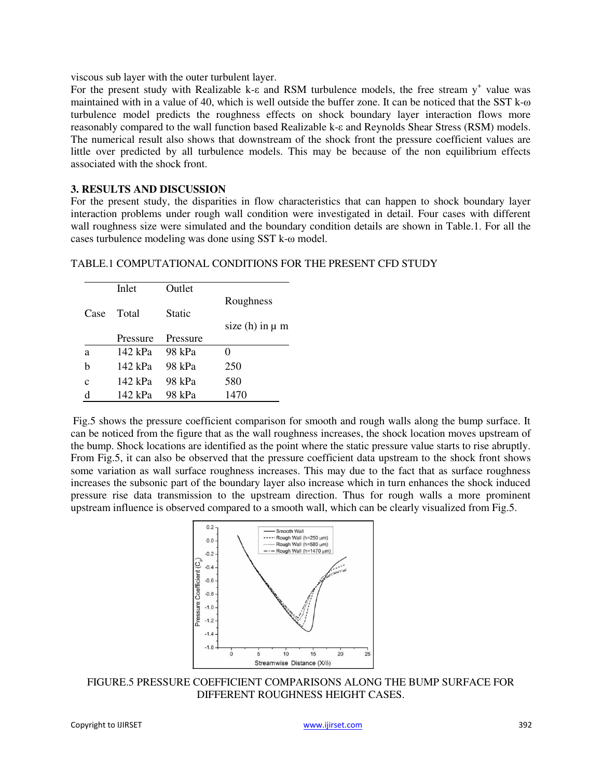viscous sub layer with the outer turbulent layer.

For the present study with Realizable k- $\varepsilon$  and RSM turbulence models, the free stream  $y^+$  value was maintained with in a value of 40, which is well outside the buffer zone. It can be noticed that the SST k-ω turbulence model predicts the roughness effects on shock boundary layer interaction flows more reasonably compared to the wall function based Realizable k-ε and Reynolds Shear Stress (RSM) models. The numerical result also shows that downstream of the shock front the pressure coefficient values are little over predicted by all turbulence models. This may be because of the non equilibrium effects associated with the shock front.

#### **3. RESULTS AND DISCUSSION**

For the present study, the disparities in flow characteristics that can happen to shock boundary layer interaction problems under rough wall condition were investigated in detail. Four cases with different wall roughness size were simulated and the boundary condition details are shown in Table.1. For all the cases turbulence modeling was done using SST k-ω model.

#### TABLE.1 COMPUTATIONAL CONDITIONS FOR THE PRESENT CFD STUDY

|             | Inlet    | Outlet   |                       |
|-------------|----------|----------|-----------------------|
|             |          |          | Roughness             |
| Case        | Total    | Static   |                       |
|             |          |          | size $(h)$ in $\mu$ m |
|             | Pressure | Pressure |                       |
| a           | 142 kPa  | 98 kPa   | 0                     |
| h           | 142 kPa  | 98 kPa   | 250                   |
| $\mathbf c$ | 142 kPa  | 98 kPa   | 580                   |
| d           | 142 kPa  | 98 kPa   | 1470                  |

Fig.5 shows the pressure coefficient comparison for smooth and rough walls along the bump surface. It can be noticed from the figure that as the wall roughness increases, the shock location moves upstream of the bump. Shock locations are identified as the point where the static pressure value starts to rise abruptly. From Fig.5, it can also be observed that the pressure coefficient data upstream to the shock front shows some variation as wall surface roughness increases. This may due to the fact that as surface roughness increases the subsonic part of the boundary layer also increase which in turn enhances the shock induced pressure rise data transmission to the upstream direction. Thus for rough walls a more prominent upstream influence is observed compared to a smooth wall, which can be clearly visualized from Fig.5.



FIGURE.5 PRESSURE COEFFICIENT COMPARISONS ALONG THE BUMP SURFACE FOR DIFFERENT ROUGHNESS HEIGHT CASES.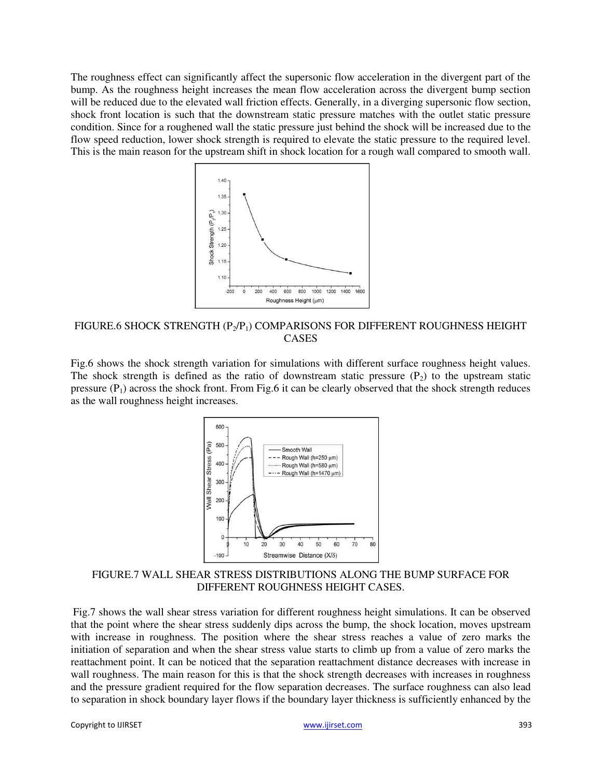The roughness effect can significantly affect the supersonic flow acceleration in the divergent part of the bump. As the roughness height increases the mean flow acceleration across the divergent bump section will be reduced due to the elevated wall friction effects. Generally, in a diverging supersonic flow section, shock front location is such that the downstream static pressure matches with the outlet static pressure condition. Since for a roughened wall the static pressure just behind the shock will be increased due to the flow speed reduction, lower shock strength is required to elevate the static pressure to the required level. This is the main reason for the upstream shift in shock location for a rough wall compared to smooth wall.



FIGURE.6 SHOCK STRENGTH  $(P_2/P_1)$  COMPARISONS FOR DIFFERENT ROUGHNESS HEIGHT CASES

Fig.6 shows the shock strength variation for simulations with different surface roughness height values. The shock strength is defined as the ratio of downstream static pressure  $(P_2)$  to the upstream static pressure  $(P_1)$  across the shock front. From Fig.6 it can be clearly observed that the shock strength reduces as the wall roughness height increases.



FIGURE.7 WALL SHEAR STRESS DISTRIBUTIONS ALONG THE BUMP SURFACE FOR DIFFERENT ROUGHNESS HEIGHT CASES.

Fig.7 shows the wall shear stress variation for different roughness height simulations. It can be observed that the point where the shear stress suddenly dips across the bump, the shock location, moves upstream with increase in roughness. The position where the shear stress reaches a value of zero marks the initiation of separation and when the shear stress value starts to climb up from a value of zero marks the reattachment point. It can be noticed that the separation reattachment distance decreases with increase in wall roughness. The main reason for this is that the shock strength decreases with increases in roughness and the pressure gradient required for the flow separation decreases. The surface roughness can also lead to separation in shock boundary layer flows if the boundary layer thickness is sufficiently enhanced by the